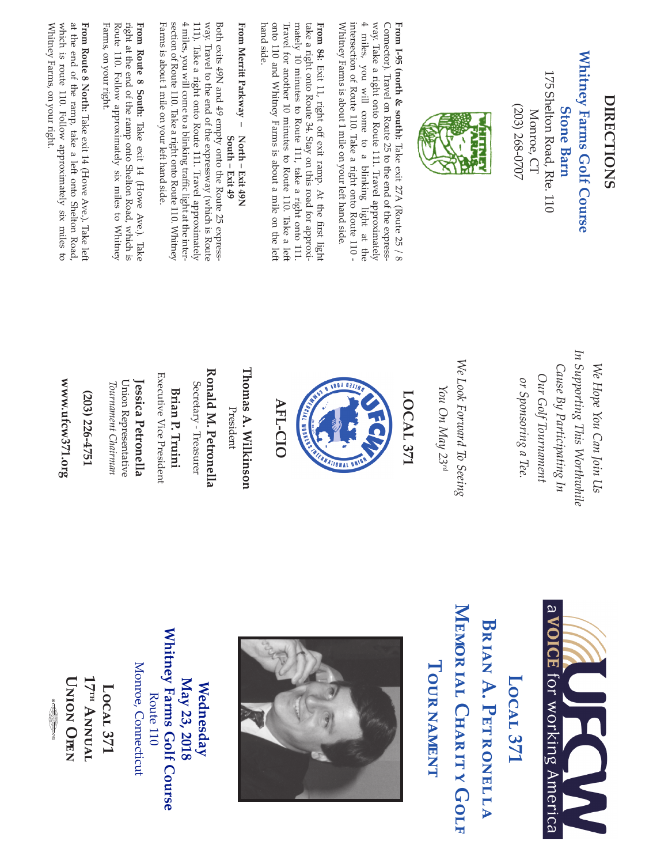## **Whitney Farms Golf Course** Whitney Farms Golf Course

175 Shelton Road, Rte. 110 175 Shelton Road, Rte. 110 **Stone Barn Stone Barn** Monroe, CT Monroe, CT

(203) 268-0707

(203) 268-0707



way. Take a right onto Route 111. Travel approximately  $4$  miles, you will come to a blinking light at the intersection of Route 110. Take a right onto Route 110 - Whitney Farms is about 1 mile on your left hand side. Connector). Travel on Route 25 to the end of the express-From 1-95 (north & south): Take exit 27A (Route 25 / 8 Connector). Travel on Route 25 to the end of the express-**From I-95 (north & south):** Take exit 27A (Route 25 / 8

onto 110 and Whitney Farms is about a mile on the left mately 10 minutes to Route 111, take a right onto 111 hand side. Travel for another 10 minutes to Route 110. Take a left take a right onto Route 34. Stay on this road for approxihand side. onto 110 and Whitney Farms is about a mile on the lef Travel for another 10 minutes to Route 110. Take a lef mately 10 minutes to Route 111, take a right onto 111. take a right onto Route 34. Stay on this road for approxi-

### **From Merrit Parkway** From Merritt Parkway - North - Exit 49N **North – Exit 49N**

4 miles, you will come to a blinking traffic light at the interway. Travel to the end of the expressway (which is Route Farms is about 1 mile on your left hand side. section of Route 110. Take a right onto Route 110. Whitney  $4$  miles, you will come to a blinking traffic light at the inter 111). Take a right onto Route 111. Travel approximately Both exits 49N and 49 empty onto the Route 25 express-Farms is about 1 mile on your lef hand side. section of Route 110. Take a right onto Route 110. Whitney 111). Take a right onto Route 111. Travel approximately way. Travel to the end of the expressway (which is Route Both exits 49N and 49 empty onto the Route 25 express South - Exit 49 **South – Exit 49**

Farms, on your right. Route 110. Follow approximately six miles to Whitney right at the end of the ramp onto Shelton Road, which is From Route 8 South: Take exit 14 (Howe Ave.). Take Farms, on your right. Route 110. Follow approximately six miles to Whitney right at the end of the ramp onto Shelton Road, which is **From Route 8 South:** Take exit 14 (Howe Ave.). Take

which is route 110. Follow approximately six miles to at the end of the ramp, take a left onto Shelton Road, Whitney Farms, on your right. From Route 8 North: Take exit 14 (Howe Ave.). Take left Whitney Farms, on your right. which is route 110. Follow approximately six miles to at the end of the ramp, take a lef onto Shelton Road, **From Route 8 North:** Take exit 14 (Howe Ave.). Take lef

> In Supporting This Worthwhile *In Supporting This Worthwhile* We Hope You Can Join Us Cause By Participating In *Cause By Participating In We Hope You Can Join Us* Our Golf Tournament *Our Golf Tournament* or Sponsoring a Tee. *or Sponsoring a Tee.*

We Look Forward To Seeing *We Look Forward To Seeing* You On May 23rd *You On May 23rd*

LOCAL<sub>371</sub> **LOCAL 371**



**AFL-CIO AFL-CIO** 

**Thomas A. Wilkinson Thomas A. Wilkinson** 

President President

Ronald M. Petronella **Ronald M. Petronella**

Secretary - Treasurer Secretary - Treasurer

**Brian P. Truini**

**Brian P. Truini** 

Executive Vice President Executive Vice President

Union Representative Union Representative Jessica Petronella **Jessica Petronella**

*Tournament Chairman*

Tournament Chairman

**(203) 226-4751**

(203) 226-4751

**www.ufcw371.org**

www.ufcw371.org

**May 23, 2018 Wednesday**

May 23, 2018 Wednesday

**Whitney Farms Golf Course** Route 110 Monroe, Connecticut

Whitney Farms Golf Course

Route 110

**Local 371 17th Annual Union Open**

Local 371

**17<sup>IH</sup> ANNUAL UNION OFFN** 

Monroe, Connecticut

 $\mathfrak g$ N<br>N<br>D<br>T ®

750

**Memor** BRIAN A. PETRONELLA **Brian A. Petronella Tour ial Charitnament y Golf**





# LOCAL<sub>371</sub> **Local 371**